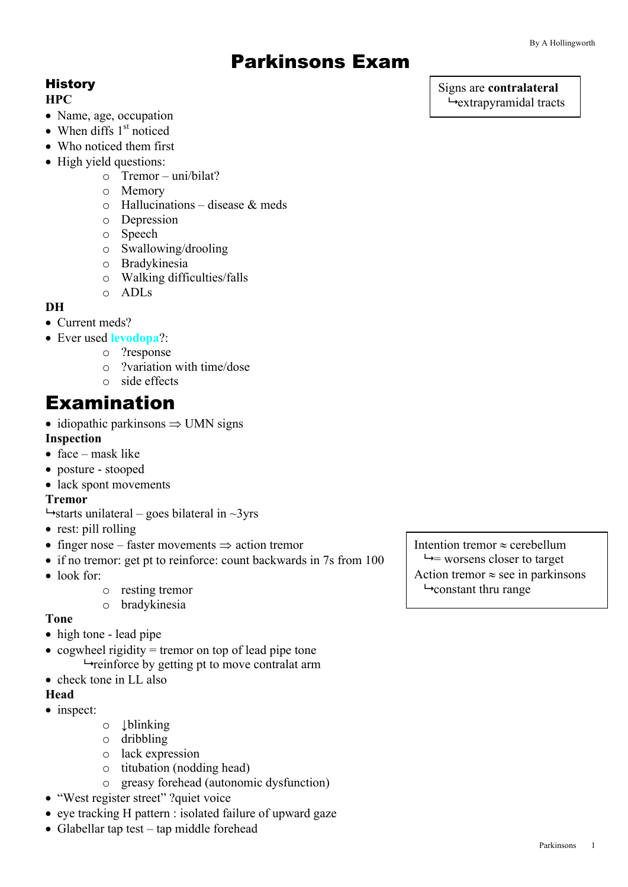# Parkinsons Exam

# **History**

#### **HPC**

- Name, age, occupation
- When diffs  $1<sup>st</sup>$  noticed
- Who noticed them first
- High yield questions:
	- o Tremor uni/bilat?
	- o Memory
	- $\circ$  Hallucinations disease & meds
	- o Depression
	- o Speech
	- o Swallowing/drooling
	- o Bradykinesia
	- o Walking difficulties/falls
	- o ADLs

#### **DH**

• Current meds?

- Ever used **levodopa**?:
	- o ?response
	- o ?variation with time/dose
	- o side effects

# Examination

• idiopathic parkinsons  $\Rightarrow$  UMN signs

#### **Inspection**

- face mask like
- posture stooped
- lack spont movements

#### **Tremor**

- $\rightarrow$ starts unilateral goes bilateral in  $\sim$ 3yrs
- rest: pill rolling
- finger nose faster movements  $\Rightarrow$  action tremor
- if no tremor: get pt to reinforce: count backwards in 7s from 100
- look for:
	- o resting tremor
	- o bradykinesia

#### **Tone**

- high tone lead pipe
- cogwheel rigidity  $=$  tremor on top of lead pipe tone  $\rightarrow$  reinforce by getting pt to move contralat arm
- check tone in LL also

## **Head**

- inspect:
- o ↓blinking
- o dribbling
- o lack expression
- o titubation (nodding head)
- o greasy forehead (autonomic dysfunction)
- "West register street" ?quiet voice
- eye tracking H pattern : isolated failure of upward gaze
- Glabellar tap test tap middle forehead

Intention tremor  $\approx$  cerebellum  $\rightarrow$  worsens closer to target Action tremor  $\approx$  see in parkinsons  $\rightarrow$  constant thru range

#### Signs are **contralateral**  $\rightarrow$  extrapyramidal tracts